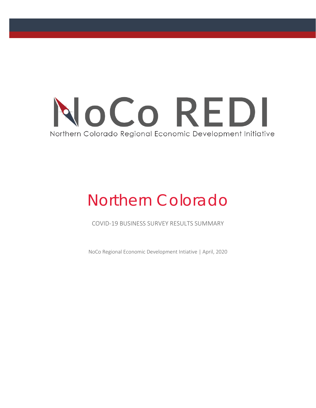

# Northern Colorado

COVID-19 BUSINESS SURVEY RESULTS SUMMARY

NoCo Regional Economic Development Intiative | April, 2020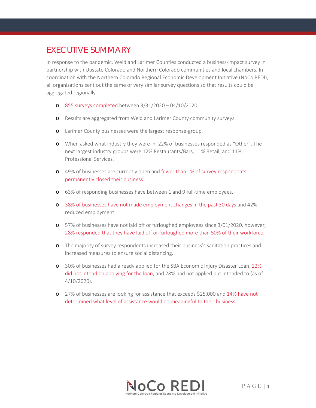# EXECUTIVE SUMMARY

In response to the pandemic, Weld and Larimer Counties conducted a business-impact survey in partnership with Upstate Colorado and Northern Colorado communities and local chambers. In coordination with the Northern Colorado Regional Economic Development Initiative (NoCo REDI), all organizations sent out the same or very similar survey questions so that results could be aggregated regionally.

- o 855 surveys completed between 3/31/2020 04/10/2020
- o Results are aggregated from Weld and Larimer County community surveys
- o Larimer County businesses were the largest response-group.
- o When asked what industry they were in, 22% of businesses responded as "Other". The next largest industry groups were 12% Restaurants/Bars, 11% Retail, and 11% Professional Services.
- o 49% of businesses are currently open and fewer than 1% of survey respondents permanently closed their business.
- o 63% of responding businesses have between 1 and 9 full-time employees.
- o 38% of businesses have not made employment changes in the past 30 days and 42% reduced employment.
- o 57% of businesses have not laid off or furloughed employees since 3/01/2020, however, 28% responded that they have laid off or furloughed more than 50% of their workforce.
- o The majority of survey respondents increased their business's sanitation practices and increased measures to ensure social distancing.
- o 30% of businesses had already applied for the SBA Economic Injury Disaster Loan, 22% did not intend on applying for the loan, and 28% had not applied but intended to (as of 4/10/2020).
- o 27% of businesses are looking for assistance that exceeds \$25,000 and 14% have not determined what level of assistance would be meaningful to their business.

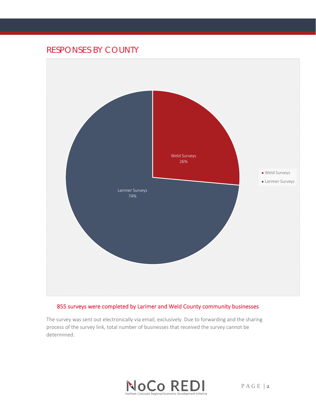# RESPONSES BY COUNTY



### 855 surveys were completed by Larimer and Weld County community businesses

The survey was sent out electronically via email, exclusively. Due to forwarding and the sharing process of the survey link, total number of businesses that received the survey cannot be determined.

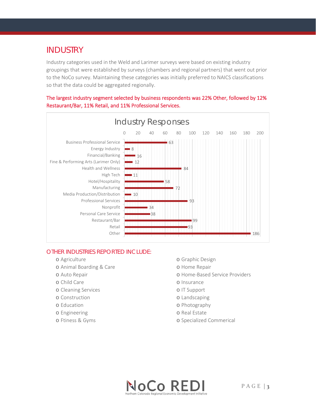# INDUSTRY

Industry categories used in the Weld and Larimer surveys were based on existing industry groupings that were established by surveys (chambers and regional partners) that went out prior to the NoCo survey. Maintaining these categories was initially preferred to NAICS classifications so that the data could be aggregated regionally.





#### OTHER INDUSTRIES REPORTED INCLUDE:

- o Agriculture
- o Animal Boarding & Care
- o Auto Repair
- o Child Care
- o Cleaning Services
- o Construction
- o Education
- o Engineering
- o Ftiness & Gyms
- o Graphic Design
- o Home Repair
- o Home-Based Service Providers
- o Insurance
- o IT Support
- o Landscaping
- o Photography
- o Real Estate
- o Specialized Commerical

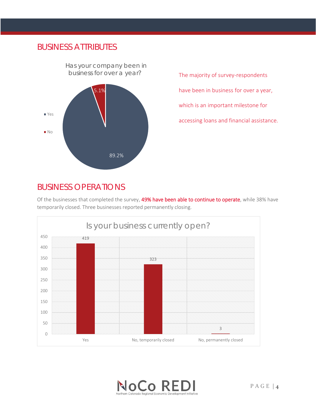### BUSINESS ATTRIBUTES



The majority of survey-respondents have been in business for over a year, which is an important milestone for accessing loans and financial assistance.

### BUSINESS OPERATIONS

Of the businesses that completed the survey, 49% have been able to continue to operate, while 38% have temporarily closed. Three businesses reported permanently closing.



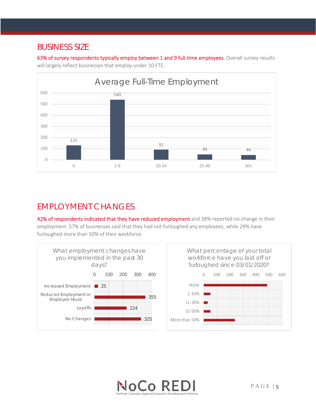### BUSINESS SIZE

63% of survey respondents typically employ between 1 and 9 full-time employees. Overall survey results will largely reflect businesses that employ under 10 FTE.



# EMPLOYMENT CHANGES

42% of respondents indicated that they have reduced employment and 38% reported no change in their employment. 57% of businesses said that they had not furloughed any employees, while 29% have furloughed more than 50% of their workforce.



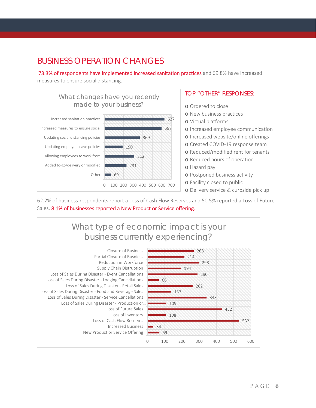# BUSINESS OPERATION CHANGES

73.3% of respondents have implemented increased sanitation practices and 69.8% have increased

measures to ensure social distancing.



### TOP "OTHER" RESPONSES:

- o Ordered to close
- o New business practices
- o Virtual platforms
- o Increased employee communication
- o Increased website/online offerings
- o Created COVID-19 response team
- o Reduced/modified rent for tenants
- o Reduced hours of operation
- o Hazard pay
- o Postponed business activity
- o Facility closed to public
- o Delivery service & curbside pick up

62.2% of business-respondents report a Loss of Cash Flow Reserves and 50.5% reported a Loss of Future Sales. 8.1% of businesses reported a New Product or Service offering.

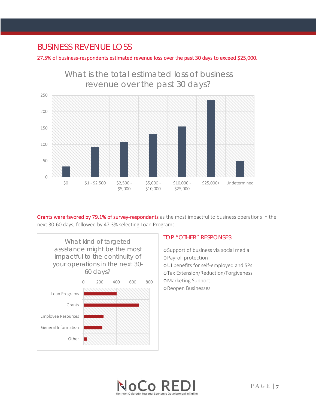# BUSINESS REVENUE LOSS

#### 27.5% of business-respondents estimated revenue loss over the past 30 days to exceed \$25,000.



Grants were favored by 79.1% of survey-respondents as the most impactful to business operations in the next 30-60 days, followed by 47.3% selecting Loan Programs.



### TOP "OTHER" RESPONSES:

oSupport of business via social media oPayroll protection oUI benefits for self-employed and SPs oTax Extension/Reduction/Forgiveness oMarketing Support oReopen Businesses

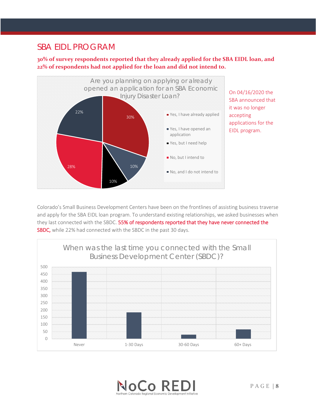# SBA EIDL PROGRAM

#### **30% of survey respondents reported that they already applied for the SBA EIDL loan, and 22% of respondents had not applied for the loan and did not intend to.**



On 04/16/2020 the SBA announced that it was no longer accepting applications for the EIDL program.

Colorado's Small Business Development Centers have been on the frontlines of assisting business traverse and apply for the SBA EIDL loan program. To understand existing relationships, we asked businesses when they last connected with the SBDC. 55% of respondents reported that they have never connected the SBDC, while 22% had connected with the SBDC in the past 30 days.